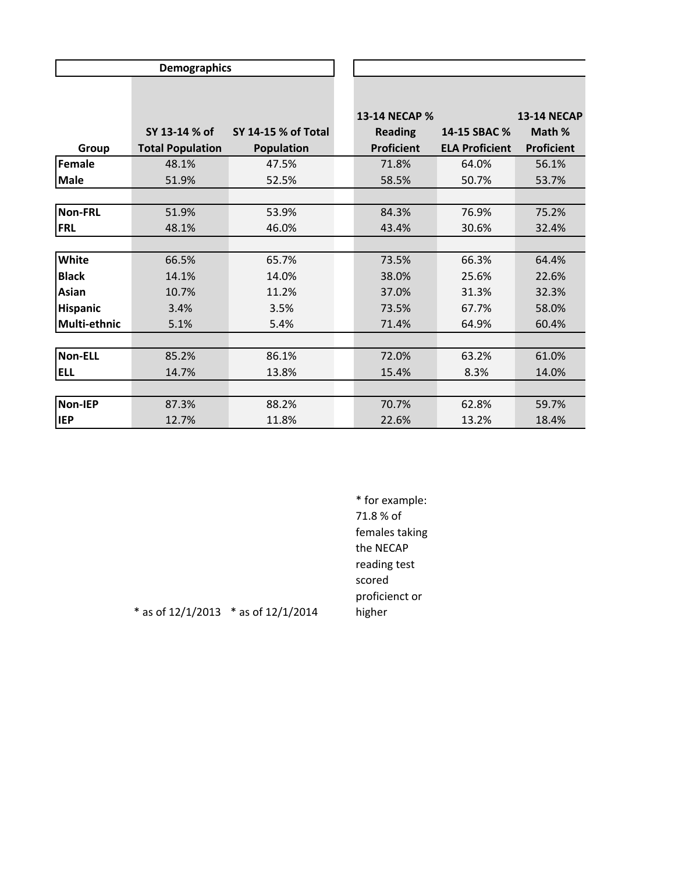|                 | <b>Demographics</b>     |                     |                   |                       |                    |
|-----------------|-------------------------|---------------------|-------------------|-----------------------|--------------------|
|                 |                         |                     |                   |                       |                    |
|                 |                         |                     | 13-14 NECAP %     |                       | <b>13-14 NECAP</b> |
|                 | SY 13-14 % of           | SY 14-15 % of Total | <b>Reading</b>    | 14-15 SBAC %          | Math %             |
| Group           | <b>Total Population</b> | <b>Population</b>   | <b>Proficient</b> | <b>ELA Proficient</b> | <b>Proficient</b>  |
| Female          | 48.1%                   | 47.5%               | 71.8%             | 64.0%                 | 56.1%              |
| <b>Male</b>     | 51.9%                   | 52.5%               | 58.5%             | 50.7%                 | 53.7%              |
|                 |                         |                     |                   |                       |                    |
| <b>Non-FRL</b>  | 51.9%                   | 53.9%               | 84.3%             | 76.9%                 | 75.2%              |
| <b>FRL</b>      | 48.1%                   | 46.0%               | 43.4%             | 30.6%                 | 32.4%              |
|                 |                         |                     |                   |                       |                    |
| White           | 66.5%                   | 65.7%               | 73.5%             | 66.3%                 | 64.4%              |
| <b>Black</b>    | 14.1%                   | 14.0%               | 38.0%             | 25.6%                 | 22.6%              |
| <b>Asian</b>    | 10.7%                   | 11.2%               | 37.0%             | 31.3%                 | 32.3%              |
| <b>Hispanic</b> | 3.4%                    | 3.5%                | 73.5%             | 67.7%                 | 58.0%              |
| Multi-ethnic    | 5.1%                    | 5.4%                | 71.4%             | 64.9%                 | 60.4%              |
|                 |                         |                     |                   |                       |                    |
| Non-ELL         | 85.2%                   | 86.1%               | 72.0%             | 63.2%                 | 61.0%              |
| <b>ELL</b>      | 14.7%                   | 13.8%               | 15.4%             | 8.3%                  | 14.0%              |
|                 |                         |                     |                   |                       |                    |
| <b>Non-IEP</b>  | 87.3%                   | 88.2%               | 70.7%             | 62.8%                 | 59.7%              |
| <b>IEP</b>      | 12.7%                   | 11.8%               | 22.6%             | 13.2%                 | 18.4%              |

\* for example: 71.8 % of females taking the NECAP reading test scored proficienct or higher

\* as of 12/1/2013 \* as of 12/1/2014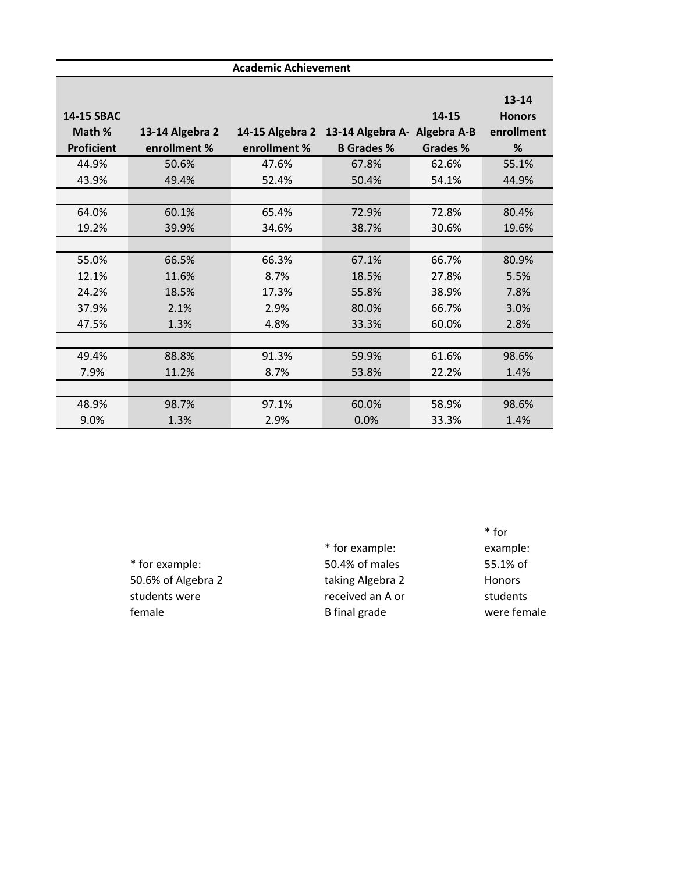| <b>Academic Achievement</b> |                 |              |                                              |          |               |  |
|-----------------------------|-----------------|--------------|----------------------------------------------|----------|---------------|--|
|                             |                 |              |                                              |          |               |  |
|                             |                 |              |                                              |          | $13 - 14$     |  |
| <b>14-15 SBAC</b>           |                 |              |                                              | 14-15    | <b>Honors</b> |  |
| Math %                      | 13-14 Algebra 2 |              | 14-15 Algebra 2 13-14 Algebra A- Algebra A-B |          | enrollment    |  |
| <b>Proficient</b>           | enrollment %    | enrollment % | <b>B</b> Grades %                            | Grades % | %             |  |
| 44.9%                       | 50.6%           | 47.6%        | 67.8%                                        | 62.6%    | 55.1%         |  |
| 43.9%                       | 49.4%           | 52.4%        | 50.4%                                        | 54.1%    | 44.9%         |  |
|                             |                 |              |                                              |          |               |  |
| 64.0%                       | 60.1%           | 65.4%        | 72.9%                                        | 72.8%    | 80.4%         |  |
| 19.2%                       | 39.9%           | 34.6%        | 38.7%                                        | 30.6%    | 19.6%         |  |
|                             |                 |              |                                              |          |               |  |
| 55.0%                       | 66.5%           | 66.3%        | 67.1%                                        | 66.7%    | 80.9%         |  |
| 12.1%                       | 11.6%           | 8.7%         | 18.5%                                        | 27.8%    | 5.5%          |  |
| 24.2%                       | 18.5%           | 17.3%        | 55.8%                                        | 38.9%    | 7.8%          |  |
| 37.9%                       | 2.1%            | 2.9%         | 80.0%                                        | 66.7%    | 3.0%          |  |
| 47.5%                       | 1.3%            | 4.8%         | 33.3%                                        | 60.0%    | 2.8%          |  |
|                             |                 |              |                                              |          |               |  |
| 49.4%                       | 88.8%           | 91.3%        | 59.9%                                        | 61.6%    | 98.6%         |  |
| 7.9%                        | 11.2%           | 8.7%         | 53.8%                                        | 22.2%    | 1.4%          |  |
|                             |                 |              |                                              |          |               |  |
| 48.9%                       | 98.7%           | 97.1%        | 60.0%                                        | 58.9%    | 98.6%         |  |
| 9.0%                        | 1.3%            | 2.9%         | 0.0%                                         | 33.3%    | 1.4%          |  |

|                    | * for example:   |
|--------------------|------------------|
| * for example:     | 50.4% of males   |
| 50.6% of Algebra 2 | taking Algebra 2 |
| students were      | received an A or |
| female             | B final grade    |
|                    |                  |

\* for example: 55.1% of Honors students were female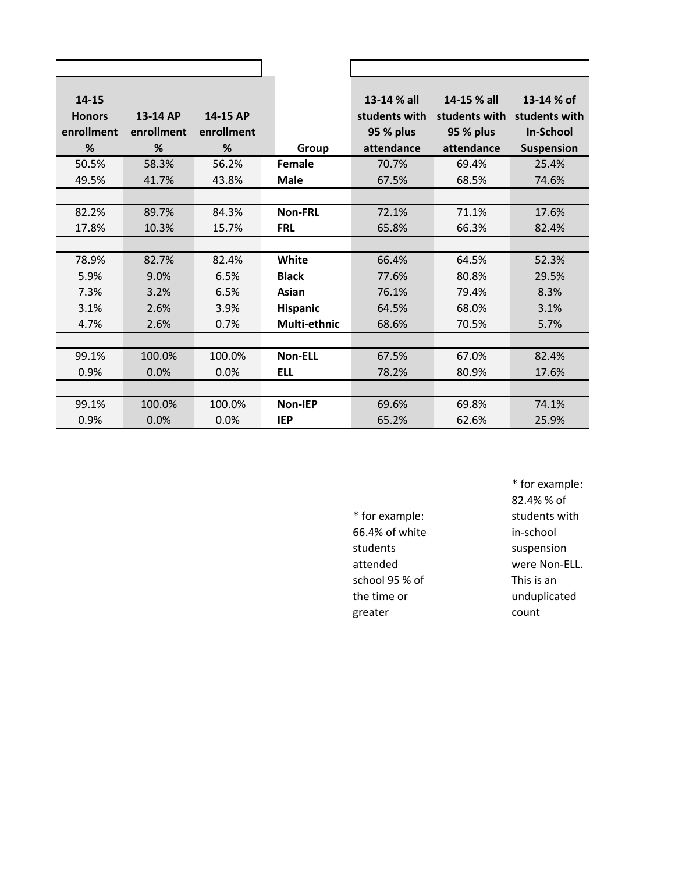| 14-15         |            |            |                | 13-14 % all   | 14-15 % all   | 13-14 % of        |
|---------------|------------|------------|----------------|---------------|---------------|-------------------|
| <b>Honors</b> | 13-14 AP   | 14-15 AP   |                | students with | students with | students with     |
| enrollment    | enrollment | enrollment |                | 95 % plus     | 95 % plus     | <b>In-School</b>  |
| %             | %          | %          | Group          | attendance    | attendance    | <b>Suspension</b> |
| 50.5%         | 58.3%      | 56.2%      | Female         | 70.7%         | 69.4%         | 25.4%             |
| 49.5%         | 41.7%      | 43.8%      | <b>Male</b>    | 67.5%         | 68.5%         | 74.6%             |
|               |            |            |                |               |               |                   |
| 82.2%         | 89.7%      | 84.3%      | <b>Non-FRL</b> | 72.1%         | 71.1%         | 17.6%             |
| 17.8%         | 10.3%      | 15.7%      | <b>FRL</b>     | 65.8%         | 66.3%         | 82.4%             |
|               |            |            |                |               |               |                   |
| 78.9%         | 82.7%      | 82.4%      | White          | 66.4%         | 64.5%         | 52.3%             |
| 5.9%          | 9.0%       | 6.5%       | <b>Black</b>   | 77.6%         | 80.8%         | 29.5%             |
| 7.3%          | 3.2%       | 6.5%       | Asian          | 76.1%         | 79.4%         | 8.3%              |
| 3.1%          | 2.6%       | 3.9%       | Hispanic       | 64.5%         | 68.0%         | 3.1%              |
| 4.7%          | 2.6%       | 0.7%       | Multi-ethnic   | 68.6%         | 70.5%         | 5.7%              |
|               |            |            |                |               |               |                   |
| 99.1%         | 100.0%     | 100.0%     | <b>Non-ELL</b> | 67.5%         | 67.0%         | 82.4%             |
| 0.9%          | 0.0%       | 0.0%       | <b>ELL</b>     | 78.2%         | 80.9%         | 17.6%             |
|               |            |            |                |               |               |                   |
| 99.1%         | 100.0%     | 100.0%     | <b>Non-IEP</b> | 69.6%         | 69.8%         | 74.1%             |
| 0.9%          | 0.0%       | 0.0%       | <b>IEP</b>     | 65.2%         | 62.6%         | 25.9%             |

\* for example: 66.4% of white students attended school 95 % of the time or greater

\* for example: 82.4% % of students with in-school suspension were Non-ELL. This is an unduplicated count